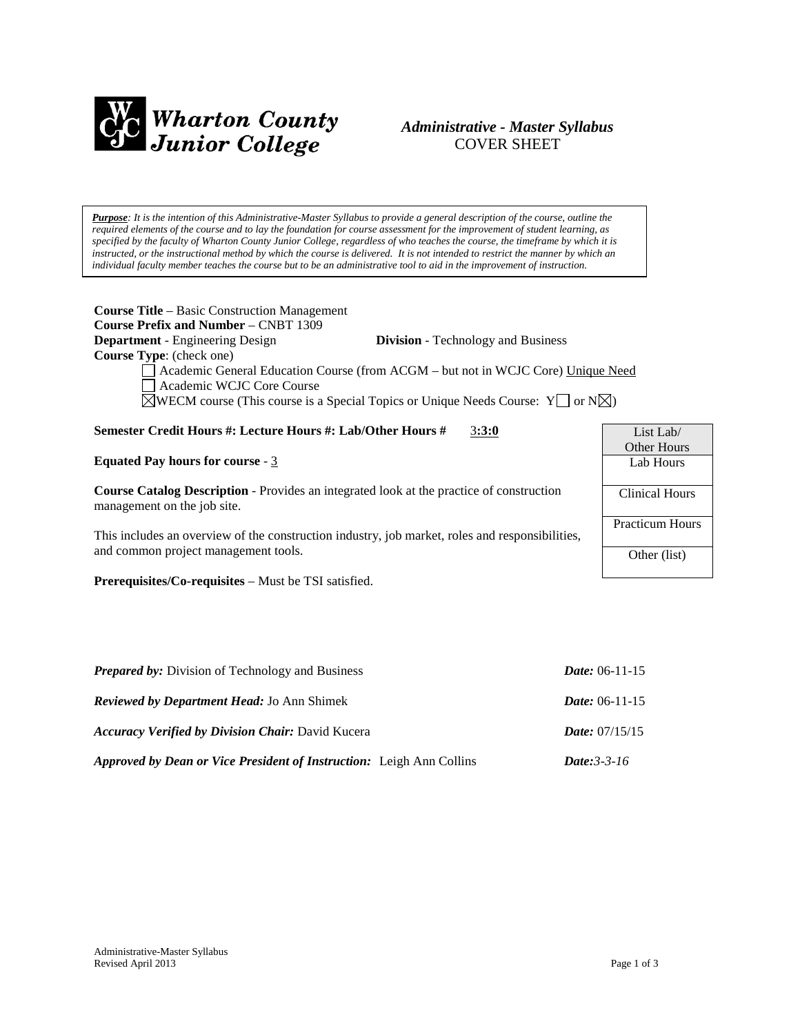

# *Administrative - Master Syllabus*  COVER SHEET

*Purpose: It is the intention of this Administrative-Master Syllabus to provide a general description of the course, outline the required elements of the course and to lay the foundation for course assessment for the improvement of student learning, as specified by the faculty of Wharton County Junior College, regardless of who teaches the course, the timeframe by which it is instructed, or the instructional method by which the course is delivered. It is not intended to restrict the manner by which an individual faculty member teaches the course but to be an administrative tool to aid in the improvement of instruction.*

| <b>Course Title</b> – Basic Construction Management                                                                            |                        |  |  |  |
|--------------------------------------------------------------------------------------------------------------------------------|------------------------|--|--|--|
| <b>Course Prefix and Number – CNBT 1309</b>                                                                                    |                        |  |  |  |
| <b>Department</b> - Engineering Design<br><b>Division</b> - Technology and Business                                            |                        |  |  |  |
| <b>Course Type:</b> (check one)                                                                                                |                        |  |  |  |
| Academic General Education Course (from ACGM – but not in WCJC Core) Unique Need<br>Academic WCJC Core Course                  |                        |  |  |  |
| $\boxtimes$ WECM course (This course is a Special Topics or Unique Needs Course: Y $\Box$ or N $\boxtimes$ )                   |                        |  |  |  |
| Semester Credit Hours #: Lecture Hours #: Lab/Other Hours #<br>3:3:0                                                           | List Lab/              |  |  |  |
|                                                                                                                                | Other Hours            |  |  |  |
| <b>Equated Pay hours for course - 3</b>                                                                                        | Lab Hours              |  |  |  |
| <b>Course Catalog Description</b> - Provides an integrated look at the practice of construction<br>management on the job site. | Clinical Hours         |  |  |  |
| This includes an overview of the construction industry, job market, roles and responsibilities,                                | <b>Practicum Hours</b> |  |  |  |
| and common project management tools.                                                                                           | Other (list)           |  |  |  |
|                                                                                                                                |                        |  |  |  |

**Prerequisites/Co-requisites** – Must be TSI satisfied.

| <b>Prepared by:</b> Division of Technology and Business                     | <i>Date:</i> $06-11-15$   |
|-----------------------------------------------------------------------------|---------------------------|
| <b>Reviewed by Department Head: Jo Ann Shimek</b>                           | <i>Date:</i> $06-11-15$   |
| <b>Accuracy Verified by Division Chair: David Kucera</b>                    | <i>Date:</i> $07/15/15$   |
| <b>Approved by Dean or Vice President of Instruction:</b> Leigh Ann Collins | <i>Date:</i> $3 - 3 - 16$ |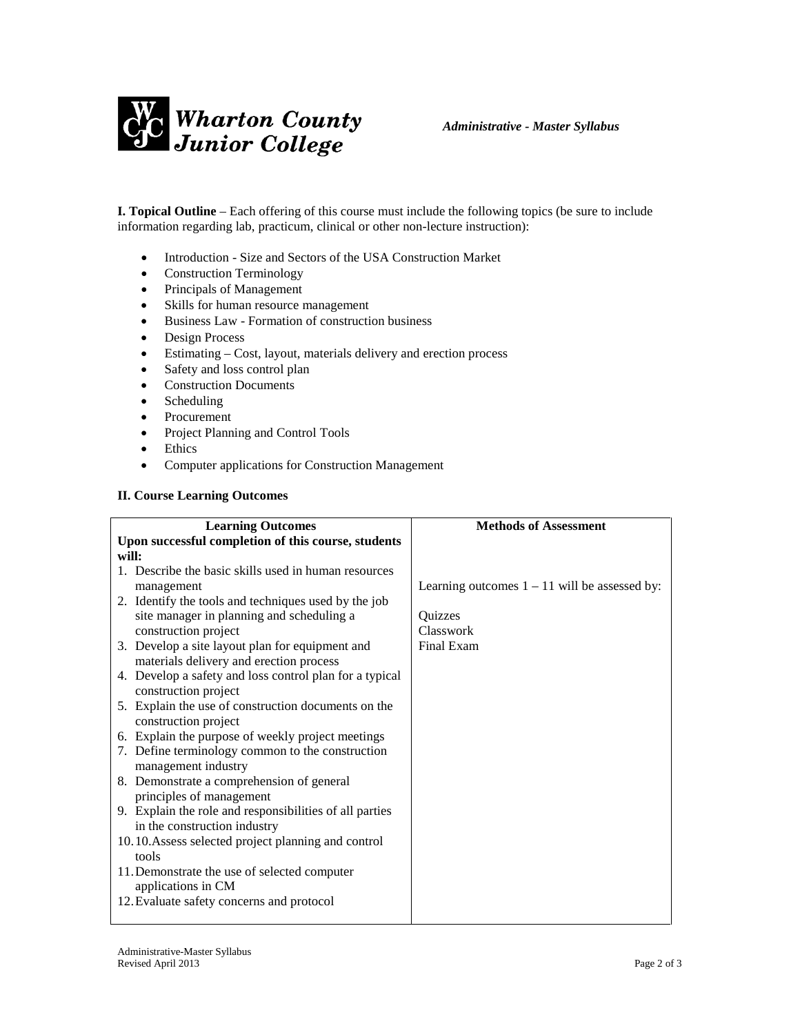

**I. Topical Outline** – Each offering of this course must include the following topics (be sure to include information regarding lab, practicum, clinical or other non-lecture instruction):

- Introduction Size and Sectors of the USA Construction Market
- Construction Terminology
- Principals of Management
- Skills for human resource management
- Business Law Formation of construction business
- Design Process
- Estimating Cost, layout, materials delivery and erection process
- Safety and loss control plan
- Construction Documents
- Scheduling
- Procurement
- Project Planning and Control Tools
- Ethics
- Computer applications for Construction Management

#### **II. Course Learning Outcomes**

| <b>Learning Outcomes</b>                                | <b>Methods of Assessment</b>                    |
|---------------------------------------------------------|-------------------------------------------------|
| Upon successful completion of this course, students     |                                                 |
| will:                                                   |                                                 |
| 1. Describe the basic skills used in human resources    |                                                 |
| management                                              | Learning outcomes $1 - 11$ will be assessed by: |
| 2. Identify the tools and techniques used by the job    |                                                 |
| site manager in planning and scheduling a               | <b>Ouizzes</b>                                  |
| construction project                                    | Classwork                                       |
| 3. Develop a site layout plan for equipment and         | Final Exam                                      |
| materials delivery and erection process                 |                                                 |
| 4. Develop a safety and loss control plan for a typical |                                                 |
| construction project                                    |                                                 |
| 5. Explain the use of construction documents on the     |                                                 |
| construction project                                    |                                                 |
| 6. Explain the purpose of weekly project meetings       |                                                 |
| 7. Define terminology common to the construction        |                                                 |
| management industry                                     |                                                 |
| 8. Demonstrate a comprehension of general               |                                                 |
| principles of management                                |                                                 |
| 9. Explain the role and responsibilities of all parties |                                                 |
| in the construction industry                            |                                                 |
| 10.10. Assess selected project planning and control     |                                                 |
| tools                                                   |                                                 |
| 11. Demonstrate the use of selected computer            |                                                 |
| applications in CM                                      |                                                 |
| 12. Evaluate safety concerns and protocol               |                                                 |
|                                                         |                                                 |